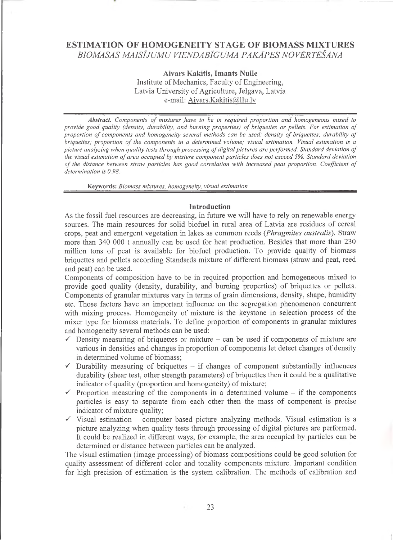# **ESTIMATION OF HOMOGENEITY STAGE OF BIOMASS MIXTURES** *BIOMASAS MAISĪJUMU VIENDABĪGUMA PAKĀPES NOVĒRTĒŠANA*

**Aivars Kakitis, Imants Nulle** Institute of Mechanics, Faculty of Engineering, Latvia University of Agriculture, Jelgava, Latvia e-mail: [Aivars.Kakitis@llu.lv](mailto:Aivars.Kakitis@llu.lv)

Abstract. Components of mixtures have to be in required proportion and homogeneous mixed to provide good quality (density, durability, and burning properties) of briquettes or pellets. For estimation of *proportion of components and homogeneity several methods can be used: density of briquettes; durability of briquettes; proportion of the components in a determined volume; visual estimation. Visual estimation is a picture analyzing when quality tests through processing of digital pictures are performed. Standard deviation of the visual estimation of area occupied by mixture component particles does not exceed 5%. Standard deviation of the distance between straw particles has good correlation with increased peat proportion. Coefficient of determination is 0.98.*

**Keywords:** *Biomass mixtures, homogeneity, visual estimation.*

### **Introduction**

As the fossil fuel resources are decreasing, in future we will have to rely on renewable energy sources. The main resources for solid biofuel in rural area of Latvia are residues of cereal crops, peat and emergent vegetation in lakes as common reeds *(Phragmites australis).* Straw more than 340 000 t annually can be used for heat production. Besides that more than 230 million tons of peat is available for biofuel production. To provide quality of biomass briquettes and pellets according Standards mixture of different biomass (straw and peat, reed and peat) can be used.

Components of composition have to be in required proportion and homogeneous mixed to provide good quality (density, durability, and burning properties) of briquettes or pellets. Components of granular mixtures vary in terms of grain dimensions, density, shape, humidity etc. Those factors have an important influence on the segregation phenomenon concurrent with mixing process. Homogeneity of mixture is the keystone in selection process of the mixer type for biomass materials. To define proportion of components in granular mixtures and homogeneity several methods can be used:

- $\checkmark$  Density measuring of briquettes or mixture can be used if components of mixture are various in densities and changes in proportion of components let detect changes of density in determined volume of biomass;
- $\checkmark$  Durability measuring of briquettes if changes of component substantially influences durability (shear test, other strength parameters) of briquettes then it could be a qualitative indicator of quality (proportion and homogeneity) of mixture;
- $\checkmark$  Proportion measuring of the components in a determined volume if the components particles is easy to separate from each other then the mass of component is precise indicator of mixture quality;
- $\checkmark$  Visual estimation computer based picture analyzing methods. Visual estimation is a picture analyzing when quality tests through processing of digital pictures are performed. It could be realized in different ways, for example, the area occupied by particles can be determined or distance between particles can be analyzed.

The visual estimation (image processing) of biomass compositions could be good solution for quality assessment of different color and tonality components mixture. Important condition for high precision of estimation is the system calibration. The methods of calibration and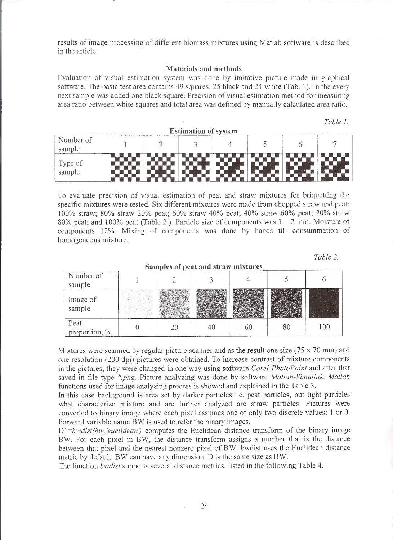results of image processing of different biomass mixtures using Matlab software is described in the article.

### **Materials and methods**

Evaluation of visual estimation system was done by imitative picture made in graphical software. The basic test area contains 49 squares: 25 black and 24 white (Tab. 1). In the every next sample was added one black square. Precision of visual estimation method for measuring area ratio between white squares and total area was defined by manually calculated area ratio.

| $\sim$ $\sim$ $\sim$ $\sim$ $\sim$ $\sim$<br><b>Estimation of system</b> |  |  |  |  |  |  |  |
|--------------------------------------------------------------------------|--|--|--|--|--|--|--|
| Number of<br>sample                                                      |  |  |  |  |  |  |  |
| Type of<br>sample                                                        |  |  |  |  |  |  |  |

To evaluate precision of visual estimation of peat and straw mixtures for briquetting the specific mixtures were tested. Six different mixtures were made from chopped straw and peat: 100% straw; 80% straw 20% peat; 60% straw 40% peat; 40% straw 60% peat; 20% straw 80% peat; and 100% peat (Table 2.). Particle size of components was  $1 - 2$  mm. Moisture of components 12%. Mixing of components was done by hands till consummation of homogeneous mixture.

*Table 2.*

*Table 1.*

| <b>Dampios of heat and seram import os</b> |  |  |  |  |    |     |
|--------------------------------------------|--|--|--|--|----|-----|
| Number of<br>sample                        |  |  |  |  |    |     |
| Image of<br>sample                         |  |  |  |  |    |     |
| Peat<br>proportion, %                      |  |  |  |  | 80 | 10C |

**Samples of peat and straw mixtures**

Mixtures were scanned by regular picture scanner and as the result one size ( $75 \times 70$  mm) and one resolution (200 dpi) pictures were obtained. To increase contrast of mixture components in the pictures, they were changed in one way using software *Corel-PhotoPaint* and after that saved in file type *\*.png.* Picture analyzing was done by software *Matlab-Simulink. Matlab* functions used for image analyzing process is showed and explained in the Table 3.

In this case background is area set by darker particles i.e. peat particles, but light particles what characterize mixture and are further analyzed are straw particles. Pictures were converted to binary image where each pixel assumes one of only two discrete values: 1 or 0. Forward variable name BW is used to refer the binary images.

D1=bwdist(bw,'euclidean') computes the Euclidean distance transform of the binary image BW. For each pixel in BW, the distance transform assigns a number that is the distance between that pixel and the nearest nonzero pixel of BW. bwdist uses the Euclidean distance metric by default. BW can have any dimension. D is the same size as BW.

The function *bwdist* supports several distance metrics, listed in the following Table 4.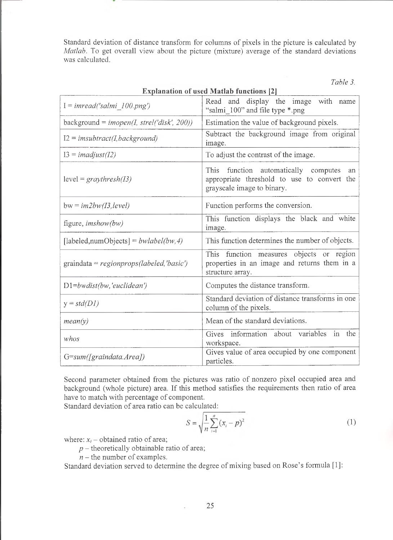Standard deviation of distance transform for columns of pixels in the picture is calculated by *Matlab.* To get overall view about the picture (mixture) average of the standard deviations was calculated.

*Table 3.*

| <b>Explanation of used Matlab functions [2]</b> |                                                                                                                            |  |  |  |  |
|-------------------------------------------------|----------------------------------------------------------------------------------------------------------------------------|--|--|--|--|
| $I = imread('salmi_100.png')$                   | Read and display the image with name<br>"salmi 100" and file type *.png                                                    |  |  |  |  |
| background = $imopen(I, strel('disk', 200))$    | Estimation the value of background pixels.                                                                                 |  |  |  |  |
| $I2 = imsubtract(I, background)$                | Subtract the background image from original<br>image.                                                                      |  |  |  |  |
| $I3 = \text{imadjust}(I2)$                      | To adjust the contrast of the image.                                                                                       |  |  |  |  |
| $level = graythresh(13)$                        | This<br>function automatically computes<br>an<br>appropriate threshold to use to convert the<br>grayscale image to binary. |  |  |  |  |
| $bw = im2bw(13, level)$                         | Function performs the conversion.                                                                                          |  |  |  |  |
| figure, $imshow(bw)$                            | This function displays the black and white<br>image.                                                                       |  |  |  |  |
| [labeled, num Objects] = $bwlabel(bw, 4)$       | This function determines the number of objects.                                                                            |  |  |  |  |
| $graindata = regionprops (labeled, 'basic')$    | This function measures objects or region<br>properties in an image and returns them in a<br>structure array.               |  |  |  |  |
| $D1 = bwdist(bw, 'euclidean')$                  | Computes the distance transform.                                                                                           |  |  |  |  |
| $y = std(D1)$                                   | Standard deviation of distance transforms in one<br>column of the pixels.                                                  |  |  |  |  |
| mean(y)                                         | Mean of the standard deviations.                                                                                           |  |  |  |  |
| whos                                            | Gives information about variables<br>in<br>the<br>workspace.                                                               |  |  |  |  |
| $G=sum(fgraindata.Area])$                       | Gives value of area occupied by one component<br>particles.                                                                |  |  |  |  |

Second parameter obtained from the pictures was ratio of nonzero pixel occupied area and background (whole picture) area. If this method satisfies the requirements then ratio of area have to match with percentage of component.

Standard deviation of area ratio can be calculated:

$$
S = \sqrt{\frac{1}{n} \sum_{i=1}^{n} (x_i - p)^2}
$$
 (1)

where:  $x_i$  – obtained ratio of area;

- *p -* theoretically obtainable ratio of area;
	- $n$  the number of examples.

Standard deviation served to determine the degree of mixing based on Rose's formula [1]:

÷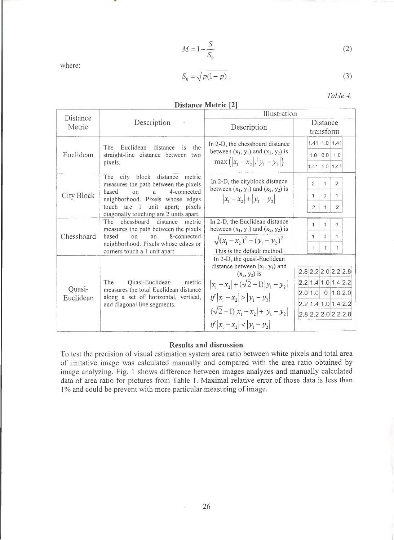$$
M = 1 - \frac{S}{S_0} \tag{2}
$$

 $S_0 = \sqrt{p(1-p)}$ . (3)

*Table 4.*

| DISTANCE PICITIC $ 4 $ |                                                                                                                                                                                                                                 |                                                                                                                                                                                                                         |                                                                                                                            |  |  |  |  |
|------------------------|---------------------------------------------------------------------------------------------------------------------------------------------------------------------------------------------------------------------------------|-------------------------------------------------------------------------------------------------------------------------------------------------------------------------------------------------------------------------|----------------------------------------------------------------------------------------------------------------------------|--|--|--|--|
| Distance               |                                                                                                                                                                                                                                 | Illustration                                                                                                                                                                                                            |                                                                                                                            |  |  |  |  |
| Metric                 | Description<br>$\sim$                                                                                                                                                                                                           | Description                                                                                                                                                                                                             | Distance                                                                                                                   |  |  |  |  |
|                        |                                                                                                                                                                                                                                 |                                                                                                                                                                                                                         | transform                                                                                                                  |  |  |  |  |
| Euclidean              | The<br>Euclidean<br>distance<br>the<br><i>is</i><br>straight-line distance between<br>two<br>pixels.                                                                                                                            | In 2-D, the chessboard distance<br>between $(x_1, y_1)$ and $(x_2, y_2)$ is<br>$max( x_1-x_2 ,  y_1-y_2 )$                                                                                                              | 1.41 1.0 1.41<br>1.0<br>$0.0$   1.0<br>1.41 1.0 1.41                                                                       |  |  |  |  |
| City Block             | The city block distance<br>metric<br>measures the path between the pixels<br>based<br>4-connected<br>on<br>a<br>neighborhood. Pixels whose edges<br>unit apart; pixels<br>touch are 1<br>diagonally touching are 2 units apart. | In 2-D, the cityblock distance<br>between $(x_1, y_1)$ and $(x_2, y_2)$ is<br>$ x_1-x_2 + y_1-y_2 $                                                                                                                     | $\overline{2}$<br>$\overline{2}$<br>1<br>$\Omega$<br>$\mathbf{1}$<br>$\mathbf{1}$<br>$\overline{c}$<br>$\overline{2}$<br>1 |  |  |  |  |
| Chessboard             | chessboard distance<br>The<br>metric<br>measures the path between the pixels<br>8-connected<br>based<br>on<br>an<br>neighborhood. Pixels whose edges or<br>corners touch a 1 unit apart.                                        | In 2-D, the Euclidean distance<br>between $(x_1, y_1)$ and $(x_2, y_2)$ is<br>$\sqrt{(x_1-x_2)^2+(y_1-y_2)^2}$<br>This is the default method.                                                                           | $\mathbf{1}$<br>1<br>$\Omega$<br>$\mathbf{1}$<br>1<br>1<br>1<br>1                                                          |  |  |  |  |
| Quasi-<br>Euclidean    | The<br>Quasi-Euclidean<br>metric<br>measures the total Euclidean distance<br>along a set of horizontal, vertical,<br>and diagonal line segments.                                                                                | In 2-D, the quasi-Euclidean<br>distance between $(x_1, y_1)$ and<br>$(x_2, y_2)$ is<br>$ x_1-x_2 +(\sqrt{2}-1) y_1-y_2 $<br>if $ x_1-x_2  >  y_1-y_2 $<br>$(\sqrt{2}-1) x_1-x_2 + y_1-y_2 $<br>if $ x_1-x_2 < y_1-y_2 $ | $2.8$ 2.2 2.0 2.2 2.8<br>2.2 1.4 1.0 1.4 2.2<br>$ 2.0 1.0 $ 0 1.0 2.0<br>2.2 1.4 1.0 1.4 2.2<br>$2.8$ 2.2 $2.0$ 2.2 $2.8$  |  |  |  |  |

# **Distance Metric [2]**

# **Results and discussion**

To test the precision of visual estimation system area ratio between white pixels and total area of imitative image was calculated manually and compared with the area ratio obtained by image analyzing. Fig. 1 shows difference between images analyzes and manually calculated data of area ratio for pictures from Table 1. Maximal relative error of those data is less than 1% and could be prevent with more particular measuring of image.

where:

Ŧ.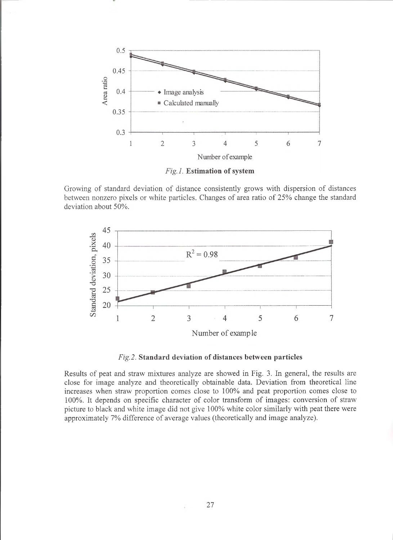

Fig.1. Estimation of system

Growing of standard deviation of distance consistently grows with dispersion of distances between nonzero pixels or white particles. Changes of area ratio of 25% change the standard deviation about 50%.



*Fig.2.* **Standard deviation of distances between particles**

Results of peat and straw mixtures analyze are showed in Fig. 3. In general, the results are close for image analyze and theoretically obtainable data. Deviation from theoretical line increases when straw proportion comes close to 100% and peat proportion comes close to 100%. It depends on specific character of color transform of images: conversion of straw picture to black and white image did not give 100% white color similarly with peat there were approximately 7% difference of average values (theoretically and image analyze).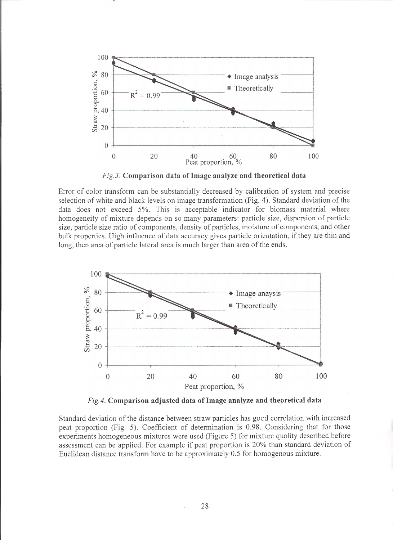

*Fig.3.* **Comparison data of Image analyze and theoretical data**

Error of color transform can be substantially decreased by calibration of system and precise selection of white and black levels on image transformation (Fig. 4). Standard deviation of the data does not exceed 5%. This is acceptable indicator for biomass material where homogeneity of mixture depends on so many parameters: particle size, dispersion of particle size, particle size ratio of components, density of particles, moisture of components, and other bulk properties. High influence of data accuracy gives particle orientation, if they are thin and long, then area of particle lateral area is much larger than area of the ends.



*Fig. 4.* **Comparison adjusted data of Image analyze and theoretical data**

Standard deviation of the distance between straw particles has good correlation with increased peat proportion (Fig. 5). Coefficient of determination is 0.98. Considering that for those experiments homogeneous mixtures were used (Figure 5) for mixture quality described before assessment can be applied. For example if peat proportion is 20% than standard deviation of Euclidean distance transform have to be approximately 0.5 for homogenous mixture.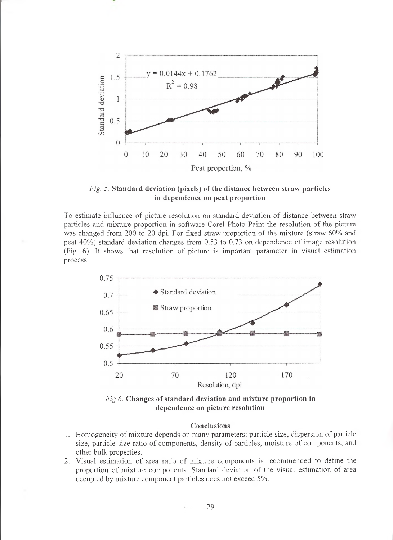

*Fig. 5.* **Standard deviation (pixels) of the distance between straw particles in dependence on peat proportion**

To estimate influence of picture resolution on standard deviation of distance between straw particles and mixture proportion in software Corel Photo Paint the resolution of the picture was changed from 200 to 20 dpi. For fixed straw proportion of the mixture (straw 60% and peat 40%) standard deviation changes from 0.53 to 0.73 on dependence of image resolution (Fig. 6). It shows that resolution of picture is important parameter in visual estimation process.





## **Conclusions**

- 1. Homogeneity of mixture depends on many parameters: particle size, dispersion of particle size, particle size ratio of components, density of particles, moisture of components, and other bulk properties.
- 2. Visual estimation of area ratio of mixture components is recommended to define the proportion of mixture components. Standard deviation of the visual estimation of area occupied by mixture component particles does not exceed 5%.

29